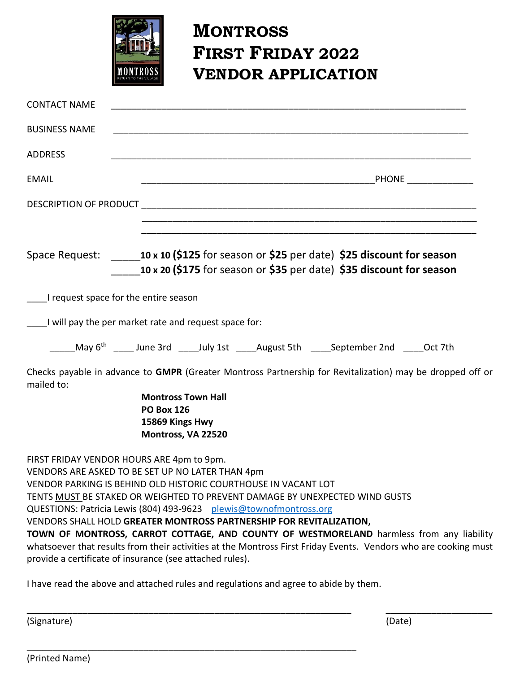

## **MONTROSS FIRST FRIDAY 2022 VENDOR APPLICATION**

| <b>CONTACT NAME</b>                                                                                                                                                                                                                                                                                          |                                                                                         |  |  |                                                                                                                                                                                                             |  |
|--------------------------------------------------------------------------------------------------------------------------------------------------------------------------------------------------------------------------------------------------------------------------------------------------------------|-----------------------------------------------------------------------------------------|--|--|-------------------------------------------------------------------------------------------------------------------------------------------------------------------------------------------------------------|--|
| <b>BUSINESS NAME</b>                                                                                                                                                                                                                                                                                         |                                                                                         |  |  |                                                                                                                                                                                                             |  |
| <b>ADDRESS</b>                                                                                                                                                                                                                                                                                               |                                                                                         |  |  |                                                                                                                                                                                                             |  |
| <b>EMAIL</b>                                                                                                                                                                                                                                                                                                 |                                                                                         |  |  |                                                                                                                                                                                                             |  |
|                                                                                                                                                                                                                                                                                                              |                                                                                         |  |  |                                                                                                                                                                                                             |  |
|                                                                                                                                                                                                                                                                                                              |                                                                                         |  |  | Space Request: $\frac{10 \times 10}{5125}$ for season or \$25 per date) \$25 discount for season<br>10 x 20 (\$175 for season or \$35 per date) \$35 discount for season                                    |  |
| I request space for the entire season                                                                                                                                                                                                                                                                        |                                                                                         |  |  |                                                                                                                                                                                                             |  |
| I will pay the per market rate and request space for:                                                                                                                                                                                                                                                        |                                                                                         |  |  |                                                                                                                                                                                                             |  |
|                                                                                                                                                                                                                                                                                                              |                                                                                         |  |  | May 6 <sup>th</sup> ______ June 3rd ______July 1st ______August 5th ______September 2nd ______Oct 7th                                                                                                       |  |
| mailed to:                                                                                                                                                                                                                                                                                                   |                                                                                         |  |  | Checks payable in advance to GMPR (Greater Montross Partnership for Revitalization) may be dropped off or                                                                                                   |  |
|                                                                                                                                                                                                                                                                                                              | <b>Montross Town Hall</b><br><b>PO Box 126</b><br>15869 Kings Hwy<br>Montross, VA 22520 |  |  |                                                                                                                                                                                                             |  |
| FIRST FRIDAY VENDOR HOURS ARE 4pm to 9pm.<br>VENDORS ARE ASKED TO BE SET UP NO LATER THAN 4pm<br>VENDOR PARKING IS BEHIND OLD HISTORIC COURTHOUSE IN VACANT LOT<br>QUESTIONS: Patricia Lewis (804) 493-9623 plewis@townofmontross.org<br>VENDORS SHALL HOLD GREATER MONTROSS PARTNERSHIP FOR REVITALIZATION, |                                                                                         |  |  | TENTS MUST BE STAKED OR WEIGHTED TO PREVENT DAMAGE BY UNEXPECTED WIND GUSTS                                                                                                                                 |  |
| provide a certificate of insurance (see attached rules).                                                                                                                                                                                                                                                     |                                                                                         |  |  | TOWN OF MONTROSS, CARROT COTTAGE, AND COUNTY OF WESTMORELAND harmless from any liability<br>whatsoever that results from their activities at the Montross First Friday Events. Vendors who are cooking must |  |

\_\_\_\_\_\_\_\_\_\_\_\_\_\_\_\_\_\_\_\_\_\_\_\_\_\_\_\_\_\_\_\_\_\_\_\_\_\_\_\_\_\_\_\_\_\_\_\_\_\_\_\_\_\_\_\_\_\_\_\_\_\_\_\_ \_\_\_\_\_\_\_\_\_\_\_\_\_\_\_\_\_\_\_\_\_

I have read the above and attached rules and regulations and agree to abide by them.

\_\_\_\_\_\_\_\_\_\_\_\_\_\_\_\_\_\_\_\_\_\_\_\_\_\_\_\_\_\_\_\_\_\_\_\_\_\_\_\_\_\_\_\_\_\_\_\_\_\_\_\_\_\_\_\_\_\_\_\_\_\_\_\_\_

(Signature) (Date)